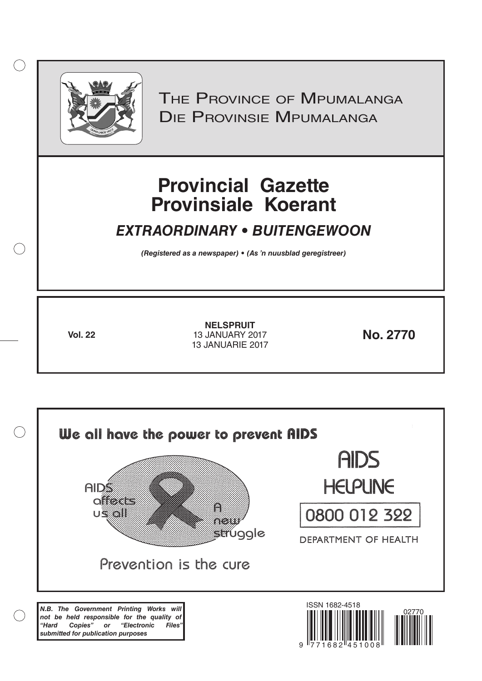

 $( )$ 

THE PROVINCE OF MPUMALANGA Die Provinsie Mpumalanga

# **Provincial Gazette Provinsiale Koerant**

# *EXTRAORDINARY • BUITENGEWOON*

*(Registered as a newspaper) • (As 'n nuusblad geregistreer)*

**Vol. 22 No. 2770** 13 JANUARY 2017 **NELSPRUIT** 13 JANUARIE 2017

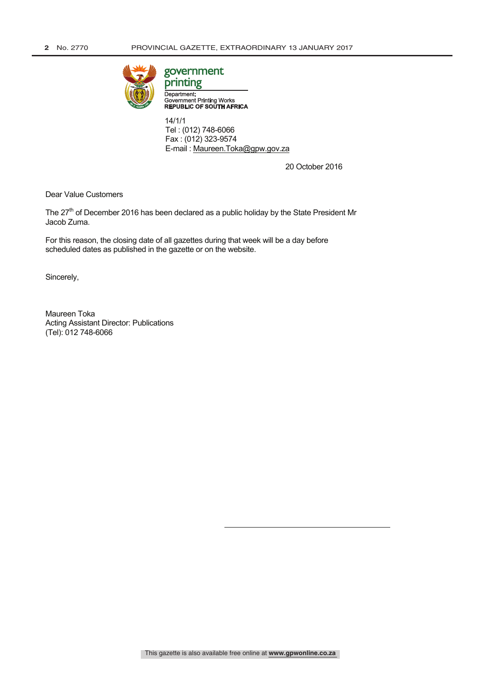

# government

Department: Government Printing Works<br>REPUBLIC OF SOUTH AFRICA

 14/1/1 Tel : (012) 748-6066 Fax : (012) 323-9574 E-mail : Maureen.Toka@gpw.gov.za

20 October 2016

Dear Value Customers

The 27<sup>th</sup> of December 2016 has been declared as a public holiday by the State President Mr Jacob Zuma.

For this reason, the closing date of all gazettes during that week will be a day before scheduled dates as published in the gazette or on the website.

Sincerely,

Maureen Toka Acting Assistant Director: Publications (Tel): 012 748-6066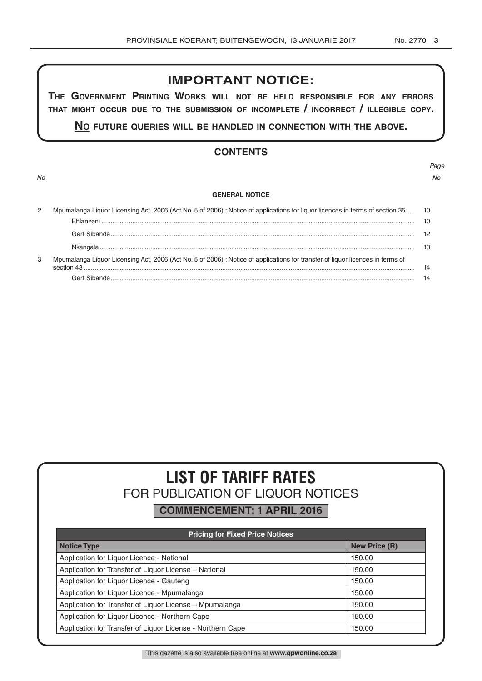# **IMPORTANT NOTICE:**

**The GovernmenT PrinTinG Works Will noT be held resPonsible for any errors ThaT miGhT occur due To The submission of incomPleTe / incorrecT / illeGible coPy.**

**no fuTure queries Will be handled in connecTion WiTh The above.**

# **CONTENTS**

*No No*

# *Page*

#### **GENERAL NOTICE**

| 2 | Mpumalanga Liquor Licensing Act, 2006 (Act No. 5 of 2006) : Notice of applications for liquor licences in terms of section 35 10 |    |
|---|----------------------------------------------------------------------------------------------------------------------------------|----|
|   |                                                                                                                                  | 10 |
|   |                                                                                                                                  |    |
|   |                                                                                                                                  |    |
| 3 | Mpumalanga Liquor Licensing Act, 2006 (Act No. 5 of 2006) : Notice of applications for transfer of liquor licences in terms of   | 14 |
|   |                                                                                                                                  |    |

# **LIST OF TARIFF RATES** FOR PUBLICATION OF LIQUOR NOTICES

**COMMENCEMENT: 1 APRIL 2016**

| <b>Pricing for Fixed Price Notices</b>                     |                      |  |  |  |  |
|------------------------------------------------------------|----------------------|--|--|--|--|
| <b>Notice Type</b>                                         | <b>New Price (R)</b> |  |  |  |  |
| Application for Liquor Licence - National                  | 150.00               |  |  |  |  |
| Application for Transfer of Liquor License - National      | 150.00               |  |  |  |  |
| Application for Liquor Licence - Gauteng                   | 150.00               |  |  |  |  |
| Application for Liquor Licence - Mpumalanga                | 150.00               |  |  |  |  |
| Application for Transfer of Liquor License - Mpumalanga    | 150.00               |  |  |  |  |
| Application for Liquor Licence - Northern Cape             | 150.00               |  |  |  |  |
| Application for Transfer of Liquor License - Northern Cape | 150.00               |  |  |  |  |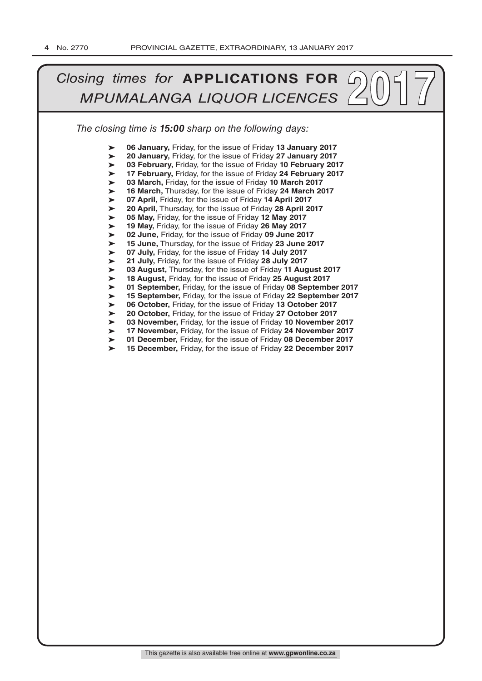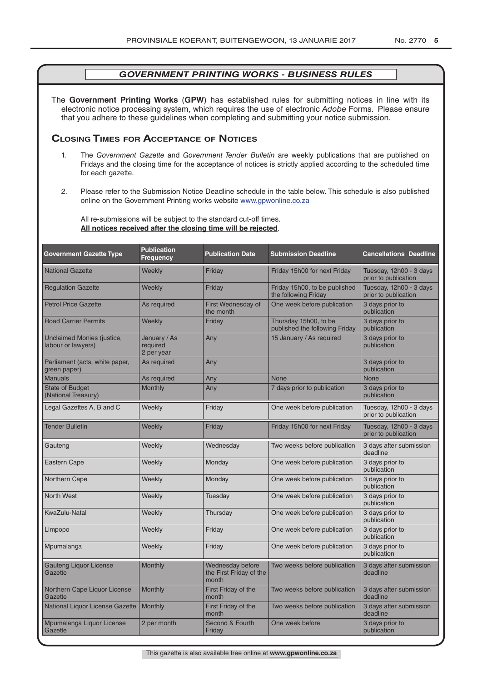The **Government Printing Works** (**GPW**) has established rules for submitting notices in line with its electronic notice processing system, which requires the use of electronic *Adobe* Forms. Please ensure that you adhere to these guidelines when completing and submitting your notice submission.

# **Closing Times for ACCepTAnCe of noTiCes**

- 1. The *Government Gazette* and *Government Tender Bulletin* are weekly publications that are published on Fridays and the closing time for the acceptance of notices is strictly applied according to the scheduled time for each gazette.
- 2. Please refer to the Submission Notice Deadline schedule in the table below. This schedule is also published online on the Government Printing works website www.gpwonline.co.za

All re-submissions will be subject to the standard cut-off times. **All notices received after the closing time will be rejected**.

| <b>Government Gazette Type</b>                   | <b>Publication</b><br>Frequency        | <b>Publication Date</b>                              | <b>Submission Deadline</b>                              | <b>Cancellations Deadline</b>                   |
|--------------------------------------------------|----------------------------------------|------------------------------------------------------|---------------------------------------------------------|-------------------------------------------------|
| <b>National Gazette</b>                          | Weekly                                 | Friday                                               | Friday 15h00 for next Friday                            | Tuesday, 12h00 - 3 days<br>prior to publication |
| <b>Regulation Gazette</b>                        | Weekly                                 | Friday                                               | Friday 15h00, to be published<br>the following Friday   | Tuesday, 12h00 - 3 days<br>prior to publication |
| <b>Petrol Price Gazette</b>                      | As required                            | First Wednesday of<br>the month                      | One week before publication                             | 3 days prior to<br>publication                  |
| <b>Road Carrier Permits</b>                      | Weekly                                 | Friday                                               | Thursday 15h00, to be<br>published the following Friday | 3 days prior to<br>publication                  |
| Unclaimed Monies (justice,<br>labour or lawyers) | January / As<br>required<br>2 per year | Any                                                  | 15 January / As required                                | 3 days prior to<br>publication                  |
| Parliament (acts, white paper,<br>green paper)   | As required                            | Any                                                  |                                                         | 3 days prior to<br>publication                  |
| <b>Manuals</b>                                   | As required                            | Any                                                  | <b>None</b>                                             | <b>None</b>                                     |
| <b>State of Budget</b><br>(National Treasury)    | <b>Monthly</b>                         | Any                                                  | 7 days prior to publication                             | 3 days prior to<br>publication                  |
| Legal Gazettes A, B and C                        | Weekly                                 | Friday                                               | One week before publication                             | Tuesday, 12h00 - 3 days<br>prior to publication |
| <b>Tender Bulletin</b>                           | Weekly                                 | Friday                                               | Friday 15h00 for next Friday                            | Tuesday, 12h00 - 3 days<br>prior to publication |
| Gauteng                                          | Weekly                                 | Wednesday                                            | Two weeks before publication                            | 3 days after submission<br>deadline             |
| <b>Eastern Cape</b>                              | Weekly                                 | Monday                                               | One week before publication                             | 3 days prior to<br>publication                  |
| Northern Cape                                    | Weekly                                 | Monday                                               | One week before publication                             | 3 days prior to<br>publication                  |
| <b>North West</b>                                | Weekly                                 | Tuesday                                              | One week before publication                             | 3 days prior to<br>publication                  |
| KwaZulu-Natal                                    | Weekly                                 | Thursday                                             | One week before publication                             | 3 days prior to<br>publication                  |
| Limpopo                                          | Weekly                                 | Friday                                               | One week before publication                             | 3 days prior to<br>publication                  |
| Mpumalanga                                       | Weekly                                 | Friday                                               | One week before publication                             | 3 days prior to<br>publication                  |
| <b>Gauteng Liquor License</b><br>Gazette         | Monthly                                | Wednesday before<br>the First Friday of the<br>month | Two weeks before publication                            | 3 days after submission<br>deadline             |
| Northern Cape Liquor License<br>Gazette          | Monthly                                | First Friday of the<br>month                         | Two weeks before publication                            | 3 days after submission<br>deadline             |
| National Liquor License Gazette                  | <b>Monthly</b>                         | First Friday of the<br>month                         | Two weeks before publication                            | 3 days after submission<br>deadline             |
| Mpumalanga Liquor License<br>Gazette             | 2 per month                            | Second & Fourth<br>Friday                            | One week before                                         | 3 days prior to<br>publication                  |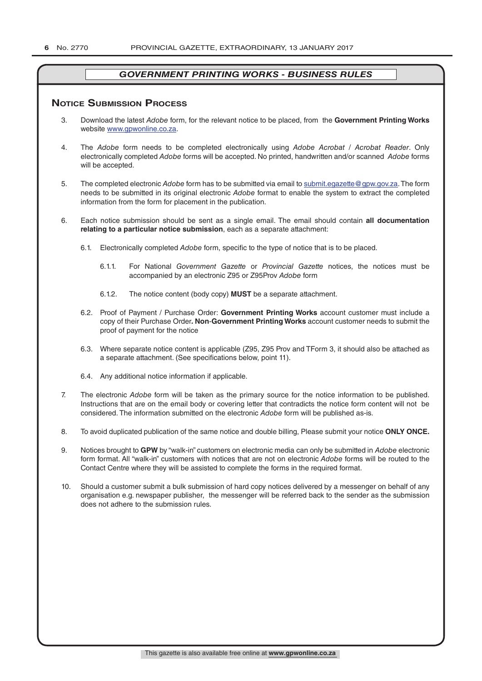# **NOTICE SUBMISSION PROCESS**

- 3. Download the latest *Adobe* form, for the relevant notice to be placed, from the **Government Printing Works** website www.gpwonline.co.za.
- 4. The *Adobe* form needs to be completed electronically using *Adobe Acrobat* / *Acrobat Reader*. Only electronically completed *Adobe* forms will be accepted. No printed, handwritten and/or scanned *Adobe* forms will be accepted.
- 5. The completed electronic *Adobe* form has to be submitted via email to submit.egazette@gpw.gov.za. The form needs to be submitted in its original electronic *Adobe* format to enable the system to extract the completed information from the form for placement in the publication.
- 6. Each notice submission should be sent as a single email. The email should contain **all documentation relating to a particular notice submission**, each as a separate attachment:
	- 6.1. Electronically completed *Adobe* form, specific to the type of notice that is to be placed.
		- 6.1.1. For National *Government Gazette* or *Provincial Gazette* notices, the notices must be accompanied by an electronic Z95 or Z95Prov *Adobe* form
		- 6.1.2. The notice content (body copy) **MUST** be a separate attachment.
	- 6.2. Proof of Payment / Purchase Order: **Government Printing Works** account customer must include a copy of their Purchase Order*.* **Non**-**Government Printing Works** account customer needs to submit the proof of payment for the notice
	- 6.3. Where separate notice content is applicable (Z95, Z95 Prov and TForm 3, it should also be attached as a separate attachment. (See specifications below, point 11).
	- 6.4. Any additional notice information if applicable.
- 7. The electronic *Adobe* form will be taken as the primary source for the notice information to be published. Instructions that are on the email body or covering letter that contradicts the notice form content will not be considered. The information submitted on the electronic *Adobe* form will be published as-is.
- 8. To avoid duplicated publication of the same notice and double billing, Please submit your notice **ONLY ONCE.**
- 9. Notices brought to **GPW** by "walk-in" customers on electronic media can only be submitted in *Adobe* electronic form format. All "walk-in" customers with notices that are not on electronic *Adobe* forms will be routed to the Contact Centre where they will be assisted to complete the forms in the required format.
- 10. Should a customer submit a bulk submission of hard copy notices delivered by a messenger on behalf of any organisation e.g. newspaper publisher, the messenger will be referred back to the sender as the submission does not adhere to the submission rules.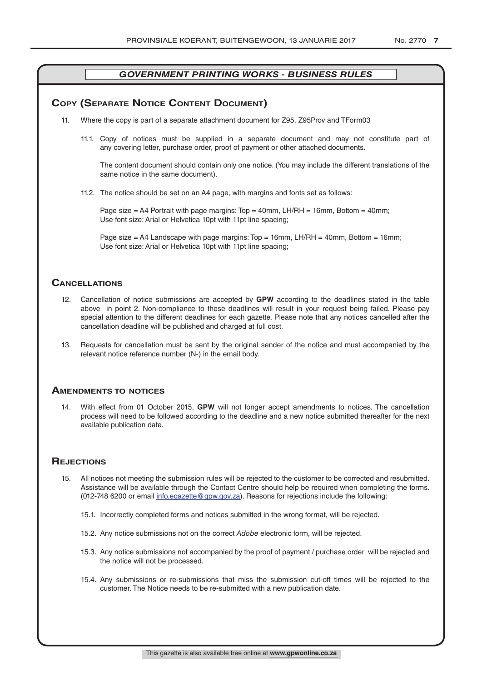# **COPY (SEPARATE NOTICE CONTENT DOCUMENT)**

- 11. Where the copy is part of a separate attachment document for Z95, Z95Prov and TForm03
	- 11.1. Copy of notices must be supplied in a separate document and may not constitute part of any covering letter, purchase order, proof of payment or other attached documents.

The content document should contain only one notice. (You may include the different translations of the same notice in the same document).

11.2. The notice should be set on an A4 page, with margins and fonts set as follows:

Page size  $=$  A4 Portrait with page margins: Top  $=$  40mm, LH/RH  $=$  16mm, Bottom  $=$  40mm; Use font size: Arial or Helvetica 10pt with 11pt line spacing;

Page size = A4 Landscape with page margins: Top = 16mm, LH/RH = 40mm, Bottom = 16mm; Use font size: Arial or Helvetica 10pt with 11pt line spacing;

# **CAnCellATions**

- 12. Cancellation of notice submissions are accepted by **GPW** according to the deadlines stated in the table above in point 2. Non-compliance to these deadlines will result in your request being failed. Please pay special attention to the different deadlines for each gazette. Please note that any notices cancelled after the cancellation deadline will be published and charged at full cost.
- 13. Requests for cancellation must be sent by the original sender of the notice and must accompanied by the relevant notice reference number (N-) in the email body.

# **AmenDmenTs To noTiCes**

14. With effect from 01 October 2015, **GPW** will not longer accept amendments to notices. The cancellation process will need to be followed according to the deadline and a new notice submitted thereafter for the next available publication date.

# **REJECTIONS**

- 15. All notices not meeting the submission rules will be rejected to the customer to be corrected and resubmitted. Assistance will be available through the Contact Centre should help be required when completing the forms. (012-748 6200 or email info.egazette@gpw.gov.za). Reasons for rejections include the following:
	- 15.1. Incorrectly completed forms and notices submitted in the wrong format, will be rejected.
	- 15.2. Any notice submissions not on the correct *Adobe* electronic form, will be rejected.
	- 15.3. Any notice submissions not accompanied by the proof of payment / purchase order will be rejected and the notice will not be processed.
	- 15.4. Any submissions or re-submissions that miss the submission cut-off times will be rejected to the customer. The Notice needs to be re-submitted with a new publication date.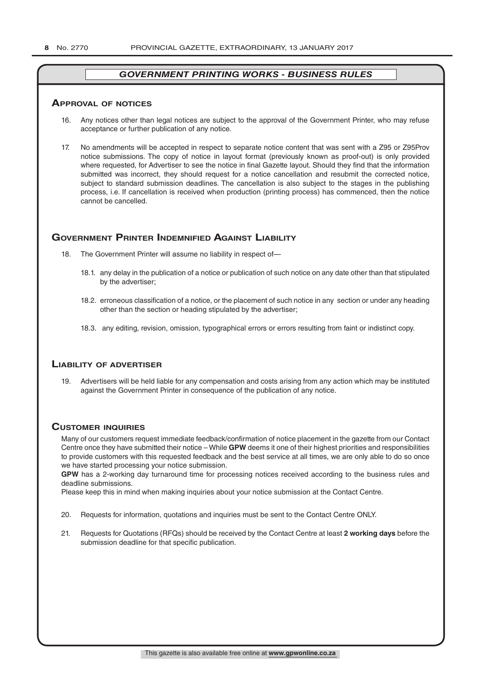#### **ApprovAl of noTiCes**

- 16. Any notices other than legal notices are subject to the approval of the Government Printer, who may refuse acceptance or further publication of any notice.
- 17. No amendments will be accepted in respect to separate notice content that was sent with a Z95 or Z95Prov notice submissions. The copy of notice in layout format (previously known as proof-out) is only provided where requested, for Advertiser to see the notice in final Gazette layout. Should they find that the information submitted was incorrect, they should request for a notice cancellation and resubmit the corrected notice, subject to standard submission deadlines. The cancellation is also subject to the stages in the publishing process, i.e. If cancellation is received when production (printing process) has commenced, then the notice cannot be cancelled.

# **GOVERNMENT PRINTER INDEMNIFIED AGAINST LIABILITY**

- 18. The Government Printer will assume no liability in respect of-
	- 18.1. any delay in the publication of a notice or publication of such notice on any date other than that stipulated by the advertiser;
	- 18.2. erroneous classification of a notice, or the placement of such notice in any section or under any heading other than the section or heading stipulated by the advertiser;
	- 18.3. any editing, revision, omission, typographical errors or errors resulting from faint or indistinct copy.

# **liAbiliTy of ADverTiser**

19. Advertisers will be held liable for any compensation and costs arising from any action which may be instituted against the Government Printer in consequence of the publication of any notice.

# **CusTomer inquiries**

Many of our customers request immediate feedback/confirmation of notice placement in the gazette from our Contact Centre once they have submitted their notice – While **GPW** deems it one of their highest priorities and responsibilities to provide customers with this requested feedback and the best service at all times, we are only able to do so once we have started processing your notice submission.

**GPW** has a 2-working day turnaround time for processing notices received according to the business rules and deadline submissions.

Please keep this in mind when making inquiries about your notice submission at the Contact Centre.

- 20. Requests for information, quotations and inquiries must be sent to the Contact Centre ONLY.
- 21. Requests for Quotations (RFQs) should be received by the Contact Centre at least **2 working days** before the submission deadline for that specific publication.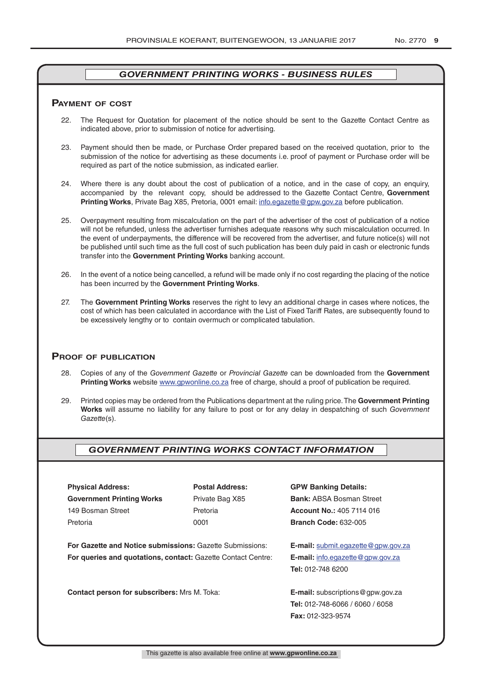# **pAymenT of CosT**

- 22. The Request for Quotation for placement of the notice should be sent to the Gazette Contact Centre as indicated above, prior to submission of notice for advertising.
- 23. Payment should then be made, or Purchase Order prepared based on the received quotation, prior to the submission of the notice for advertising as these documents i.e. proof of payment or Purchase order will be required as part of the notice submission, as indicated earlier.
- 24. Where there is any doubt about the cost of publication of a notice, and in the case of copy, an enquiry, accompanied by the relevant copy, should be addressed to the Gazette Contact Centre, **Government Printing Works**, Private Bag X85, Pretoria, 0001 email: info.egazette@gpw.gov.za before publication.
- 25. Overpayment resulting from miscalculation on the part of the advertiser of the cost of publication of a notice will not be refunded, unless the advertiser furnishes adequate reasons why such miscalculation occurred. In the event of underpayments, the difference will be recovered from the advertiser, and future notice(s) will not be published until such time as the full cost of such publication has been duly paid in cash or electronic funds transfer into the **Government Printing Works** banking account.
- 26. In the event of a notice being cancelled, a refund will be made only if no cost regarding the placing of the notice has been incurred by the **Government Printing Works**.
- 27. The **Government Printing Works** reserves the right to levy an additional charge in cases where notices, the cost of which has been calculated in accordance with the List of Fixed Tariff Rates, are subsequently found to be excessively lengthy or to contain overmuch or complicated tabulation.

# **proof of publiCATion**

- 28. Copies of any of the *Government Gazette* or *Provincial Gazette* can be downloaded from the **Government Printing Works** website www.gpwonline.co.za free of charge, should a proof of publication be required.
- 29. Printed copies may be ordered from the Publications department at the ruling price. The **Government Printing Works** will assume no liability for any failure to post or for any delay in despatching of such *Government Gazette*(s).

# *GOVERNMENT PRINTING WORKS CONTACT INFORMATION*

**Physical Address: Postal Address: GPW Banking Details: Government Printing Works** Private Bag X85 **Bank: ABSA Bosman Street** 149 Bosman Street Pretoria **Account No.:** 405 7114 016 Pretoria 0001 **Branch Code:** 632-005

**For Gazette and Notice submissions:** Gazette Submissions: **E-mail:** submit.egazette@gpw.gov.za **For queries and quotations, contact:** Gazette Contact Centre: **E-mail:** info.egazette@gpw.gov.za

**Contact person for subscribers:** Mrs M. Toka: **E-mail:** subscriptions@gpw.gov.za

**Tel:** 012-748 6200

**Tel:** 012-748-6066 / 6060 / 6058 **Fax:** 012-323-9574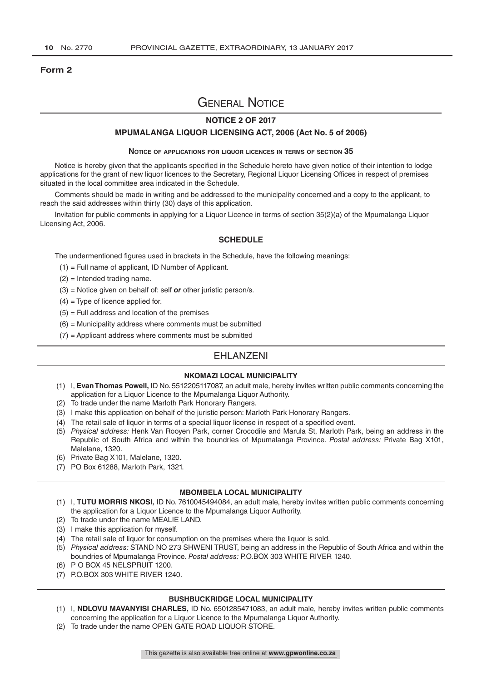#### **Form 2**

# General Notice

# **NOTICE 2 OF 2017**

#### **MPUMALANGA LIQUOR LICENSING ACT, 2006 (Act No. 5 of 2006)**

#### **Notice of applications for liquor licences in terms of section 35**

Notice is hereby given that the applicants specified in the Schedule hereto have given notice of their intention to lodge applications for the grant of new liquor licences to the Secretary, Regional Liquor Licensing Offices in respect of premises situated in the local committee area indicated in the Schedule.

Comments should be made in writing and be addressed to the municipality concerned and a copy to the applicant, to reach the said addresses within thirty (30) days of this application.

Invitation for public comments in applying for a Liquor Licence in terms of section 35(2)(a) of the Mpumalanga Liquor Licensing Act, 2006.

## **SCHEDULE**

The undermentioned figures used in brackets in the Schedule, have the following meanings:

- (1) = Full name of applicant, ID Number of Applicant.
- (2) = Intended trading name.
- (3) = Notice given on behalf of: self *or* other juristic person/s.
- $(4)$  = Type of licence applied for.
- $(5)$  = Full address and location of the premises
- $(6)$  = Municipality address where comments must be submitted
- $(7)$  = Applicant address where comments must be submitted

# EHLANZENI

## **NKOMAZI LOCAL MUNICIPALITY**

- (1) I, **Evan Thomas Powell,** ID No. 5512205117087, an adult male, hereby invites written public comments concerning the application for a Liquor Licence to the Mpumalanga Liquor Authority.
- (2) To trade under the name Marloth Park Honorary Rangers.
- (3) I make this application on behalf of the juristic person: Marloth Park Honorary Rangers.
- (4) The retail sale of liquor in terms of a special liquor license in respect of a specified event.
- (5) *Physical address:* Henk Van Rooyen Park, corner Crocodile and Marula St, Marloth Park, being an address in the Republic of South Africa and within the boundries of Mpumalanga Province. *Postal address:* Private Bag X101, Malelane, 1320.
- (6) Private Bag X101, Malelane, 1320.
- (7) PO Box 61288, Marloth Park, 1321.

#### **MBOMBELA LOCAL MUNICIPALITY**

- (1) I, **TUTU MORRIS NKOSI,** ID No. 7610045494084, an adult male, hereby invites written public comments concerning the application for a Liquor Licence to the Mpumalanga Liquor Authority.
- (2) To trade under the name MEALIE LAND.
- (3) I make this application for myself.
- (4) The retail sale of liquor for consumption on the premises where the liquor is sold.
- (5) *Physical address:* STAND NO 273 SHWENI TRUST, being an address in the Republic of South Africa and within the boundries of Mpumalanga Province. *Postal address:* P.O.BOX 303 WHITE RIVER 1240.
- (6) P O BOX 45 NELSPRUIT 1200.
- (7) P.O.BOX 303 WHITE RIVER 1240.

#### **BUSHBUCKRIDGE LOCAL MUNICIPALITY**

- (1) I, **NDLOVU MAVANYISI CHARLES,** ID No. 6501285471083, an adult male, hereby invites written public comments concerning the application for a Liquor Licence to the Mpumalanga Liquor Authority.
- (2) To trade under the name OPEN GATE ROAD LIQUOR STORE.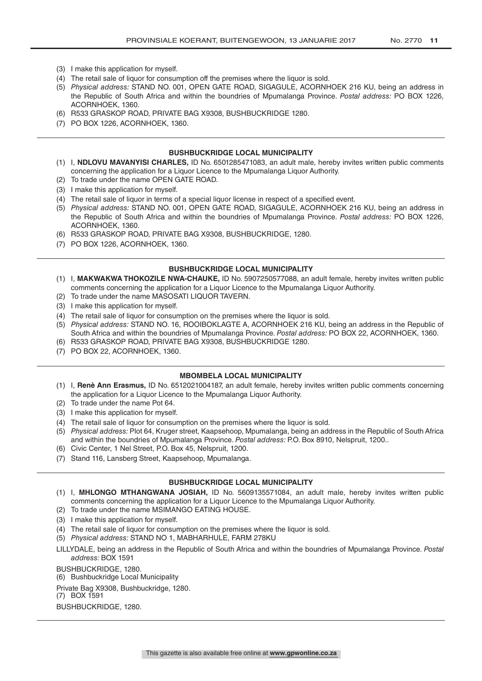- (3) I make this application for myself.
- (4) The retail sale of liquor for consumption off the premises where the liquor is sold.
- (5) *Physical address:* STAND NO. 001, OPEN GATE ROAD, SIGAGULE, ACORNHOEK 216 KU, being an address in the Republic of South Africa and within the boundries of Mpumalanga Province. *Postal address:* PO BOX 1226, ACORNHOEK, 1360.
- (6) R533 GRASKOP ROAD, PRIVATE BAG X9308, BUSHBUCKRIDGE 1280.
- (7) PO BOX 1226, ACORNHOEK, 1360.

#### **BUSHBUCKRIDGE LOCAL MUNICIPALITY**

- (1) I, **NDLOVU MAVANYISI CHARLES,** ID No. 6501285471083, an adult male, hereby invites written public comments concerning the application for a Liquor Licence to the Mpumalanga Liquor Authority.
- (2) To trade under the name OPEN GATE ROAD.
- (3) I make this application for myself.
- (4) The retail sale of liquor in terms of a special liquor license in respect of a specified event.
- (5) *Physical address:* STAND NO. 001, OPEN GATE ROAD, SIGAGULE, ACORNHOEK 216 KU, being an address in the Republic of South Africa and within the boundries of Mpumalanga Province. *Postal address:* PO BOX 1226, ACORNHOEK, 1360.
- (6) R533 GRASKOP ROAD, PRIVATE BAG X9308, BUSHBUCKRIDGE, 1280.
- (7) PO BOX 1226, ACORNHOEK, 1360.

#### **BUSHBUCKRIDGE LOCAL MUNICIPALITY**

- (1) I, **MAKWAKWA THOKOZILE NWA-CHAUKE,** ID No. 5907250577088, an adult female, hereby invites written public comments concerning the application for a Liquor Licence to the Mpumalanga Liquor Authority.
- (2) To trade under the name MASOSATI LIQUOR TAVERN.
- (3) I make this application for myself.
- (4) The retail sale of liquor for consumption on the premises where the liquor is sold.
- (5) *Physical address:* STAND NO. 16, ROOIBOKLAGTE A, ACORNHOEK 216 KU, being an address in the Republic of South Africa and within the boundries of Mpumalanga Province. *Postal address:* PO BOX 22, ACORNHOEK, 1360.
- (6) R533 GRASKOP ROAD, PRIVATE BAG X9308, BUSHBUCKRIDGE 1280.
- (7) PO BOX 22, ACORNHOEK, 1360.

#### **MBOMBELA LOCAL MUNICIPALITY**

- (1) I, **Renè Ann Erasmus,** ID No. 6512021004187, an adult female, hereby invites written public comments concerning the application for a Liquor Licence to the Mpumalanga Liquor Authority.
- (2) To trade under the name Pot 64.
- (3) I make this application for myself.
- (4) The retail sale of liquor for consumption on the premises where the liquor is sold.
- (5) *Physical address:* Plot 64, Kruger street, Kaapsehoop, Mpumalanga, being an address in the Republic of South Africa and within the boundries of Mpumalanga Province. *Postal address:* P.O. Box 8910, Nelspruit, 1200..
- (6) Civic Center, 1 Nel Street, P.O. Box 45, Nelspruit, 1200.
- (7) Stand 116, Lansberg Street, Kaapsehoop, Mpumalanga.

#### **BUSHBUCKRIDGE LOCAL MUNICIPALITY**

- (1) I, **MHLONGO MTHANGWANA JOSIAH,** ID No. 5609135571084, an adult male, hereby invites written public comments concerning the application for a Liquor Licence to the Mpumalanga Liquor Authority.
- (2) To trade under the name MSIMANGO EATING HOUSE.
- (3) I make this application for myself.
- (4) The retail sale of liquor for consumption on the premises where the liquor is sold.
- (5) *Physical address:* STAND NO 1, MABHARHULE, FARM 278KU
- LILLYDALE, being an address in the Republic of South Africa and within the boundries of Mpumalanga Province. *Postal address:* BOX 1591
- BUSHBUCKRIDGE, 1280.

(6) Bushbuckridge Local Municipality

Private Bag X9308, Bushbuckridge, 1280.

(7) BOX 1591

BUSHBUCKRIDGE, 1280.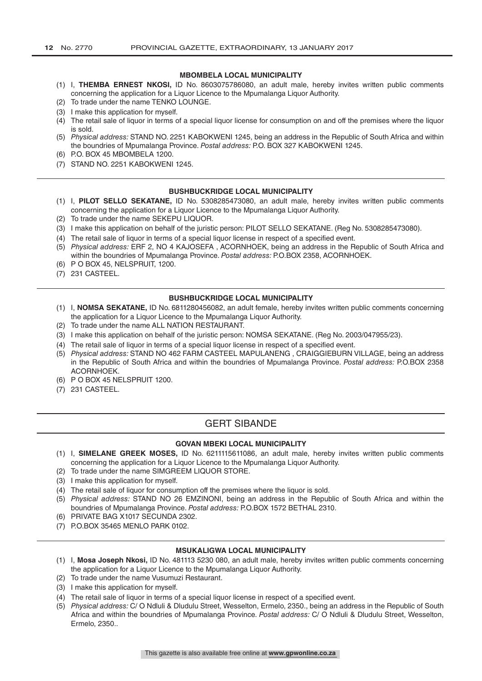# **MBOMBELA LOCAL MUNICIPALITY**

- (1) I, **THEMBA ERNEST NKOSI,** ID No. 8603075786080, an adult male, hereby invites written public comments concerning the application for a Liquor Licence to the Mpumalanga Liquor Authority.
- (2) To trade under the name TENKO LOUNGE.
- (3) I make this application for myself.
- (4) The retail sale of liquor in terms of a special liquor license for consumption on and off the premises where the liquor is sold.
- (5) *Physical address:* STAND NO. 2251 KABOKWENI 1245, being an address in the Republic of South Africa and within the boundries of Mpumalanga Province. *Postal address:* P.O. BOX 327 KABOKWENI 1245.
- (6) P.O. BOX 45 MBOMBELA 1200.
- (7) STAND NO. 2251 KABOKWENI 1245.

#### **BUSHBUCKRIDGE LOCAL MUNICIPALITY**

- (1) I, **PILOT SELLO SEKATANE,** ID No. 5308285473080, an adult male, hereby invites written public comments concerning the application for a Liquor Licence to the Mpumalanga Liquor Authority.
- (2) To trade under the name SEKEPU LIQUOR.
- (3) I make this application on behalf of the juristic person: PILOT SELLO SEKATANE. (Reg No. 5308285473080).
- (4) The retail sale of liquor in terms of a special liquor license in respect of a specified event.
- (5) *Physical address:* ERF 2, NO 4 KAJOSEFA , ACORNHOEK, being an address in the Republic of South Africa and within the boundries of Mpumalanga Province. *Postal address:* P.O.BOX 2358, ACORNHOEK.
- (6) P O BOX 45, NELSPRUIT, 1200.
- (7) 231 CASTEEL.

## **BUSHBUCKRIDGE LOCAL MUNICIPALITY**

- (1) I, **NOMSA SEKATANE,** ID No. 6811280456082, an adult female, hereby invites written public comments concerning the application for a Liquor Licence to the Mpumalanga Liquor Authority.
- (2) To trade under the name ALL NATION RESTAURANT.
- (3) I make this application on behalf of the juristic person: NOMSA SEKATANE. (Reg No. 2003/047955/23).
- (4) The retail sale of liquor in terms of a special liquor license in respect of a specified event.
- (5) *Physical address:* STAND NO 462 FARM CASTEEL MAPULANENG , CRAIGGIEBURN VILLAGE, being an address in the Republic of South Africa and within the boundries of Mpumalanga Province. *Postal address:* P.O.BOX 2358 ACORNHOEK.
- (6) P O BOX 45 NELSPRUIT 1200.
- (7) 231 CASTEEL.

# GERT SIBANDE

#### **GOVAN MBEKI LOCAL MUNICIPALITY**

- (1) I, **SIMELANE GREEK MOSES,** ID No. 6211115611086, an adult male, hereby invites written public comments concerning the application for a Liquor Licence to the Mpumalanga Liquor Authority.
- (2) To trade under the name SIMGREEM LIQUOR STORE.
- (3) I make this application for myself.
- (4) The retail sale of liquor for consumption off the premises where the liquor is sold.
- (5) *Physical address:* STAND NO 26 EMZINONI, being an address in the Republic of South Africa and within the boundries of Mpumalanga Province. *Postal address:* P.O.BOX 1572 BETHAL 2310.
- (6) PRIVATE BAG X1017 SECUNDA 2302.
- (7) P.O.BOX 35465 MENLO PARK 0102.

## **MSUKALIGWA LOCAL MUNICIPALITY**

- (1) I, **Mosa Joseph Nkosi,** ID No. 481113 5230 080, an adult male, hereby invites written public comments concerning the application for a Liquor Licence to the Mpumalanga Liquor Authority.
- (2) To trade under the name Vusumuzi Restaurant.
- (3) I make this application for myself.
- (4) The retail sale of liquor in terms of a special liquor license in respect of a specified event.
- (5) *Physical address:* C/ O Ndluli & Dludulu Street, Wesselton, Ermelo, 2350., being an address in the Republic of South Africa and within the boundries of Mpumalanga Province. *Postal address:* C/ O Ndluli & Dludulu Street, Wesselton, Ermelo, 2350..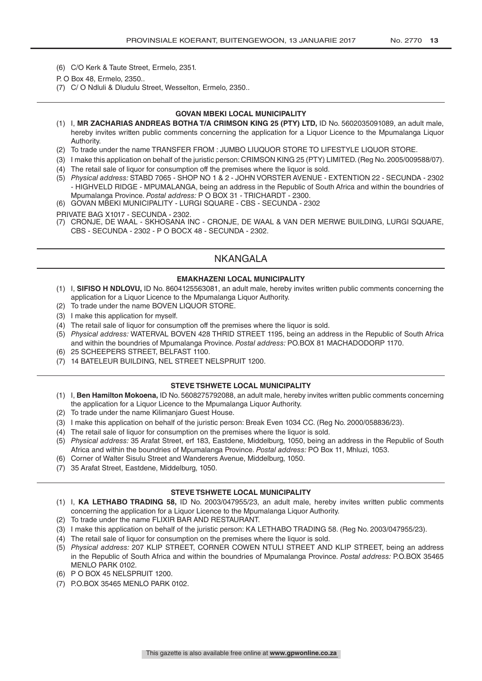- (6) C/O Kerk & Taute Street, Ermelo, 2351.
- P. O Box 48, Ermelo, 2350..
- (7) C/ O Ndluli & Dludulu Street, Wesselton, Ermelo, 2350..

## **GOVAN MBEKI LOCAL MUNICIPALITY**

- (1) I, **MR ZACHARIAS ANDREAS BOTHA T/A CRIMSON KING 25 (PTY) LTD,** ID No. 5602035091089, an adult male, hereby invites written public comments concerning the application for a Liquor Licence to the Mpumalanga Liquor Authority.
- (2) To trade under the name TRANSFER FROM : JUMBO LIUQUOR STORE TO LIFESTYLE LIQUOR STORE.
- (3) I make this application on behalf of the juristic person: CRIMSON KING 25 (PTY) LIMITED. (Reg No. 2005/009588/07).
- (4) The retail sale of liquor for consumption off the premises where the liquor is sold.
- (5) *Physical address:* STABD 7065 SHOP NO 1 & 2 JOHN VORSTER AVENUE EXTENTION 22 SECUNDA 2302 - HIGHVELD RIDGE - MPUMALANGA, being an address in the Republic of South Africa and within the boundries of Mpumalanga Province. *Postal address:* P O BOX 31 - TRICHARDT - 2300.
- (6) GOVAN MBEKI MUNICIPALITY LURGI SQUARE CBS SECUNDA 2302

PRIVATE BAG X1017 - SECUNDA - 2302.

(7) CRONJE, DE WAAL - SKHOSANA INC - CRONJE, DE WAAL & VAN DER MERWE BUILDING, LURGI SQUARE, CBS - SECUNDA - 2302 - P O BOCX 48 - SECUNDA - 2302.

# NKANGALA

#### **EMAKHAZENI LOCAL MUNICIPALITY**

- (1) I, **SIFISO H NDLOVU,** ID No. 8604125563081, an adult male, hereby invites written public comments concerning the application for a Liquor Licence to the Mpumalanga Liquor Authority.
- (2) To trade under the name BOVEN LIQUOR STORE.
- (3) I make this application for myself.
- (4) The retail sale of liquor for consumption off the premises where the liquor is sold.
- (5) *Physical address:* WATERVAL BOVEN 428 THRID STREET 1195, being an address in the Republic of South Africa and within the boundries of Mpumalanga Province. *Postal address:* PO.BOX 81 MACHADODORP 1170.
- (6) 25 SCHEEPERS STREET, BELFAST 1100.
- (7) 14 BATELEUR BUILDING, NEL STREET NELSPRUIT 1200.

## **STEVE TSHWETE LOCAL MUNICIPALITY**

- (1) I, **Ben Hamilton Mokoena,** ID No. 5608275792088, an adult male, hereby invites written public comments concerning the application for a Liquor Licence to the Mpumalanga Liquor Authority.
- (2) To trade under the name Kilimanjaro Guest House.
- (3) I make this application on behalf of the juristic person: Break Even 1034 CC. (Reg No. 2000/058836/23).
- (4) The retail sale of liquor for consumption on the premises where the liquor is sold.
- (5) *Physical address:* 35 Arafat Street, erf 183, Eastdene, Middelburg, 1050, being an address in the Republic of South Africa and within the boundries of Mpumalanga Province. *Postal address:* PO Box 11, Mhluzi, 1053.
- (6) Corner of Walter Sisulu Street and Wanderers Avenue, Middelburg, 1050.
- (7) 35 Arafat Street, Eastdene, Middelburg, 1050.

#### **STEVE TSHWETE LOCAL MUNICIPALITY**

- (1) I, **KA LETHABO TRADING 58,** ID No. 2003/047955/23, an adult male, hereby invites written public comments concerning the application for a Liquor Licence to the Mpumalanga Liquor Authority.
- (2) To trade under the name FLIXIR BAR AND RESTAURANT.
- (3) I make this application on behalf of the juristic person: KA LETHABO TRADING 58. (Reg No. 2003/047955/23).
- (4) The retail sale of liquor for consumption on the premises where the liquor is sold.
- (5) *Physical address:* 207 KLIP STREET, CORNER COWEN NTULI STREET AND KLIP STREET, being an address in the Republic of South Africa and within the boundries of Mpumalanga Province. *Postal address:* P.O.BOX 35465 MENLO PARK 0102.
- (6) P O BOX 45 NELSPRUIT 1200.
- (7) P.O.BOX 35465 MENLO PARK 0102.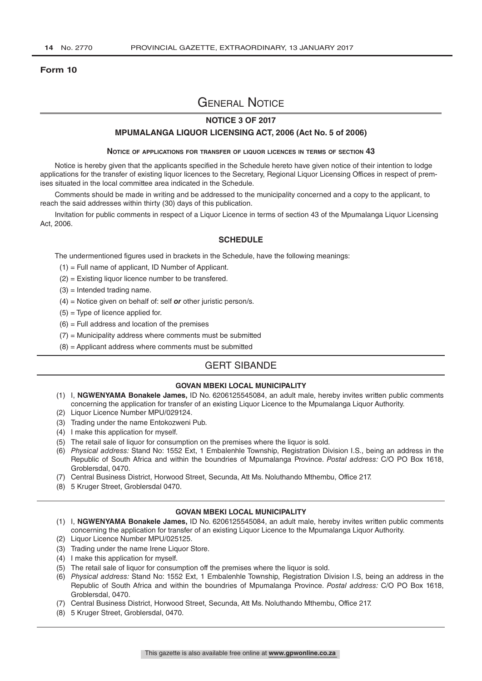#### **Form 10**

# General Notice

# **NOTICE 3 OF 2017**

#### **MPUMALANGA LIQUOR LICENSING ACT, 2006 (Act No. 5 of 2006)**

#### **Notice of applications for transfer of liquor licences in terms of section 43**

Notice is hereby given that the applicants specified in the Schedule hereto have given notice of their intention to lodge applications for the transfer of existing liquor licences to the Secretary, Regional Liquor Licensing Offices in respect of premises situated in the local committee area indicated in the Schedule.

Comments should be made in writing and be addressed to the municipality concerned and a copy to the applicant, to reach the said addresses within thirty (30) days of this publication.

Invitation for public comments in respect of a Liquor Licence in terms of section 43 of the Mpumalanga Liquor Licensing Act, 2006.

#### **SCHEDULE**

The undermentioned figures used in brackets in the Schedule, have the following meanings:

- (1) = Full name of applicant, ID Number of Applicant.
- (2) = Existing liquor licence number to be transfered.
- $(3)$  = Intended trading name.
- (4) = Notice given on behalf of: self *or* other juristic person/s.
- $(5)$  = Type of licence applied for.
- $(6)$  = Full address and location of the premises
- $(7)$  = Municipality address where comments must be submitted
- (8) = Applicant address where comments must be submitted

# GERT SIBANDE

# **GOVAN MBEKI LOCAL MUNICIPALITY**

- (1) I, **NGWENYAMA Bonakele James,** ID No. 6206125545084, an adult male, hereby invites written public comments concerning the application for transfer of an existing Liquor Licence to the Mpumalanga Liquor Authority.
- (2) Liquor Licence Number MPU/029124.
- (3) Trading under the name Entokozweni Pub.
- (4) I make this application for myself.
- (5) The retail sale of liquor for consumption on the premises where the liquor is sold.
- (6) *Physical address:* Stand No: 1552 Ext, 1 Embalenhle Township, Registration Division I.S., being an address in the Republic of South Africa and within the boundries of Mpumalanga Province. *Postal address:* C/O PO Box 1618, Groblersdal, 0470.
- (7) Central Business District, Horwood Street, Secunda, Att Ms. Noluthando Mthembu, Office 217.
- (8) 5 Kruger Street, Groblersdal 0470.

#### **GOVAN MBEKI LOCAL MUNICIPALITY**

- (1) I, **NGWENYAMA Bonakele James,** ID No. 6206125545084, an adult male, hereby invites written public comments concerning the application for transfer of an existing Liquor Licence to the Mpumalanga Liquor Authority.
- (2) Liquor Licence Number MPU/025125.
- (3) Trading under the name Irene Liquor Store.
- (4) I make this application for myself.
- (5) The retail sale of liquor for consumption off the premises where the liquor is sold.
- (6) *Physical address:* Stand No: 1552 Ext, 1 Embalenhle Township, Registration Division I.S, being an address in the Republic of South Africa and within the boundries of Mpumalanga Province. *Postal address:* C/O PO Box 1618, Groblersdal, 0470.
- (7) Central Business District, Horwood Street, Secunda, Att Ms. Noluthando Mthembu, Office 217.
- (8) 5 Kruger Street, Groblersdal, 0470.